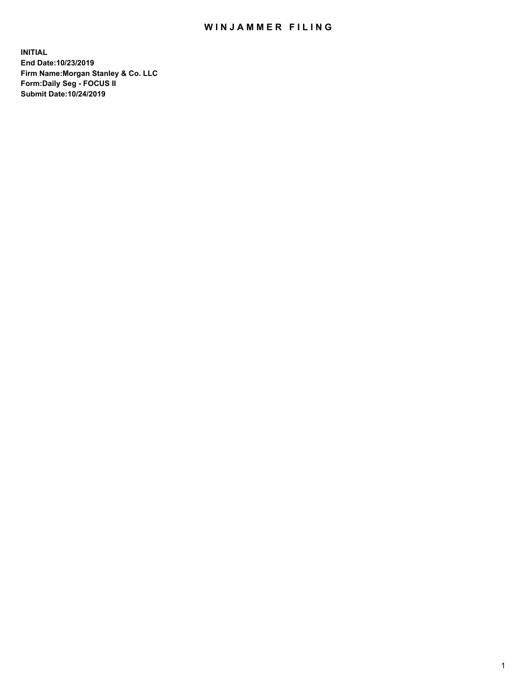## WIN JAMMER FILING

**INITIAL End Date:10/23/2019 Firm Name:Morgan Stanley & Co. LLC Form:Daily Seg - FOCUS II Submit Date:10/24/2019**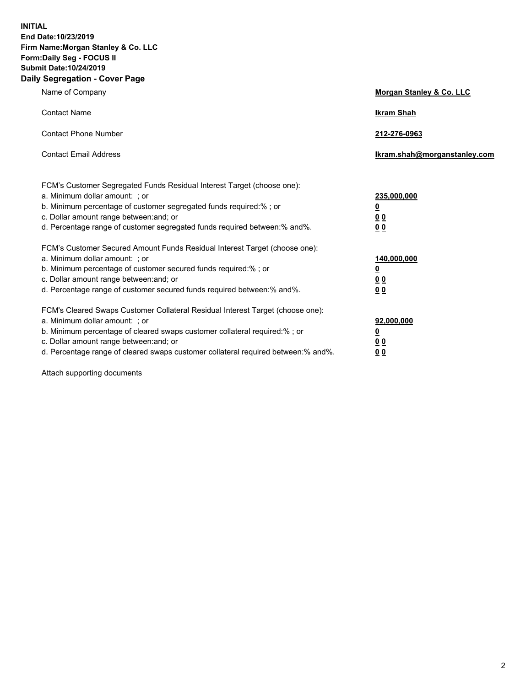**INITIAL End Date:10/23/2019 Firm Name:Morgan Stanley & Co. LLC Form:Daily Seg - FOCUS II Submit Date:10/24/2019 Daily Segregation - Cover Page**

| Name of Company                                                                                                                                                                                                                                                                                                                | Morgan Stanley & Co. LLC                               |
|--------------------------------------------------------------------------------------------------------------------------------------------------------------------------------------------------------------------------------------------------------------------------------------------------------------------------------|--------------------------------------------------------|
| <b>Contact Name</b>                                                                                                                                                                                                                                                                                                            | <b>Ikram Shah</b>                                      |
| <b>Contact Phone Number</b>                                                                                                                                                                                                                                                                                                    | 212-276-0963                                           |
| <b>Contact Email Address</b>                                                                                                                                                                                                                                                                                                   | Ikram.shah@morganstanley.com                           |
| FCM's Customer Segregated Funds Residual Interest Target (choose one):<br>a. Minimum dollar amount: : or<br>b. Minimum percentage of customer segregated funds required:% ; or<br>c. Dollar amount range between: and; or<br>d. Percentage range of customer segregated funds required between:% and%.                         | 235,000,000<br><u>0</u><br>0 <sub>0</sub><br><u>00</u> |
| FCM's Customer Secured Amount Funds Residual Interest Target (choose one):<br>a. Minimum dollar amount: ; or<br>b. Minimum percentage of customer secured funds required:% ; or<br>c. Dollar amount range between: and; or<br>d. Percentage range of customer secured funds required between:% and%.                           | 140,000,000<br><u>0</u><br><u>00</u><br>0 <sub>0</sub> |
| FCM's Cleared Swaps Customer Collateral Residual Interest Target (choose one):<br>a. Minimum dollar amount: ; or<br>b. Minimum percentage of cleared swaps customer collateral required:% ; or<br>c. Dollar amount range between: and; or<br>d. Percentage range of cleared swaps customer collateral required between:% and%. | 92,000,000<br><u>0</u><br><u>00</u><br>0 <sub>0</sub>  |

Attach supporting documents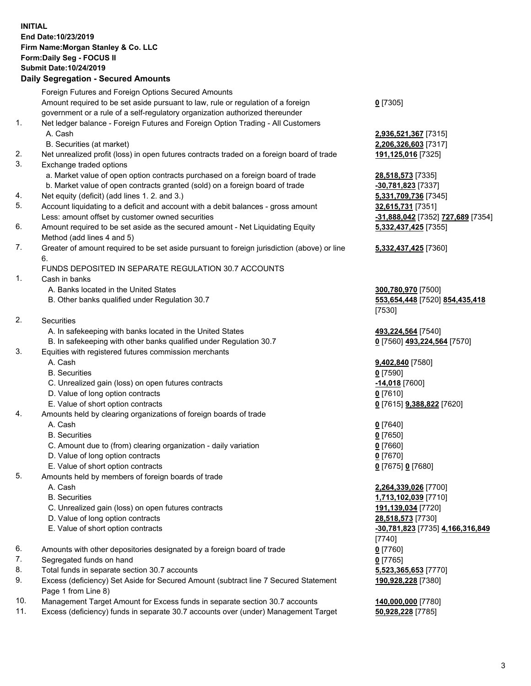## **INITIAL End Date:10/23/2019 Firm Name:Morgan Stanley & Co. LLC Form:Daily Seg - FOCUS II Submit Date:10/24/2019**

## **Daily Segregation - Secured Amounts**

|          | Foreign Futures and Foreign Options Secured Amounts                                                                  |                                            |
|----------|----------------------------------------------------------------------------------------------------------------------|--------------------------------------------|
|          | Amount required to be set aside pursuant to law, rule or regulation of a foreign                                     | $0$ [7305]                                 |
|          | government or a rule of a self-regulatory organization authorized thereunder                                         |                                            |
| 1.       | Net ledger balance - Foreign Futures and Foreign Option Trading - All Customers                                      |                                            |
|          | A. Cash                                                                                                              | 2,936,521,367 [7315]                       |
|          | B. Securities (at market)                                                                                            | 2,206,326,603 [7317]                       |
| 2.<br>3. | Net unrealized profit (loss) in open futures contracts traded on a foreign board of trade<br>Exchange traded options | 191,125,016 [7325]                         |
|          | a. Market value of open option contracts purchased on a foreign board of trade                                       | 28,518,573 [7335]                          |
|          | b. Market value of open contracts granted (sold) on a foreign board of trade                                         | -30,781,823 [7337]                         |
| 4.       | Net equity (deficit) (add lines 1.2. and 3.)                                                                         | 5,331,709,736 [7345]                       |
| 5.       | Account liquidating to a deficit and account with a debit balances - gross amount                                    | 32,615,731 [7351]                          |
|          | Less: amount offset by customer owned securities                                                                     | -31,888,042 [7352] 727,689 [7354]          |
| 6.       | Amount required to be set aside as the secured amount - Net Liquidating Equity                                       | 5,332,437,425 [7355]                       |
|          | Method (add lines 4 and 5)                                                                                           |                                            |
| 7.       | Greater of amount required to be set aside pursuant to foreign jurisdiction (above) or line                          | 5,332,437,425 [7360]                       |
|          | 6.<br>FUNDS DEPOSITED IN SEPARATE REGULATION 30.7 ACCOUNTS                                                           |                                            |
| 1.       | Cash in banks                                                                                                        |                                            |
|          | A. Banks located in the United States                                                                                | 300,780,970 [7500]                         |
|          | B. Other banks qualified under Regulation 30.7                                                                       | 553,654,448 [7520] 854,435,418             |
|          |                                                                                                                      | [7530]                                     |
| 2.       | Securities                                                                                                           |                                            |
|          | A. In safekeeping with banks located in the United States                                                            | 493,224,564 [7540]                         |
|          | B. In safekeeping with other banks qualified under Regulation 30.7                                                   | 0 [7560] 493,224,564 [7570]                |
| 3.       | Equities with registered futures commission merchants                                                                |                                            |
|          | A. Cash                                                                                                              | 9,402,840 [7580]                           |
|          | <b>B.</b> Securities                                                                                                 | $0$ [7590]                                 |
|          | C. Unrealized gain (loss) on open futures contracts                                                                  | -14,018 [7600]                             |
|          | D. Value of long option contracts                                                                                    | $0$ [7610]                                 |
|          | E. Value of short option contracts                                                                                   | 0 [7615] 9,388,822 [7620]                  |
| 4.       | Amounts held by clearing organizations of foreign boards of trade                                                    |                                            |
|          | A. Cash                                                                                                              | $0$ [7640]                                 |
|          | <b>B.</b> Securities                                                                                                 | $0$ [7650]                                 |
|          | C. Amount due to (from) clearing organization - daily variation                                                      | $0$ [7660]                                 |
|          | D. Value of long option contracts                                                                                    | $0$ [7670]                                 |
|          | E. Value of short option contracts                                                                                   | 0 [7675] 0 [7680]                          |
| 5.       | Amounts held by members of foreign boards of trade                                                                   |                                            |
|          | A. Cash                                                                                                              | 2,264,339,026 [7700]                       |
|          | <b>B.</b> Securities                                                                                                 | 1,713,102,039 [7710]                       |
|          | C. Unrealized gain (loss) on open futures contracts                                                                  | 191,139,034 [7720]                         |
|          | D. Value of long option contracts                                                                                    | 28,518,573 [7730]                          |
|          | E. Value of short option contracts                                                                                   | -30,781,823 [7735] 4,166,316,849<br>[7740] |
| 6.       | Amounts with other depositories designated by a foreign board of trade                                               | $0$ [7760]                                 |
| 7.       | Segregated funds on hand                                                                                             | $0$ [7765]                                 |
| 8.       | Total funds in separate section 30.7 accounts                                                                        | 5,523,365,653 [7770]                       |
| 9.       | Excess (deficiency) Set Aside for Secured Amount (subtract line 7 Secured Statement                                  | 190,928,228 [7380]                         |
|          | Page 1 from Line 8)                                                                                                  |                                            |
| 10.      | Management Target Amount for Excess funds in separate section 30.7 accounts                                          | 140,000,000 [7780]                         |

11. Excess (deficiency) funds in separate 30.7 accounts over (under) Management Target **50,928,228** [7785]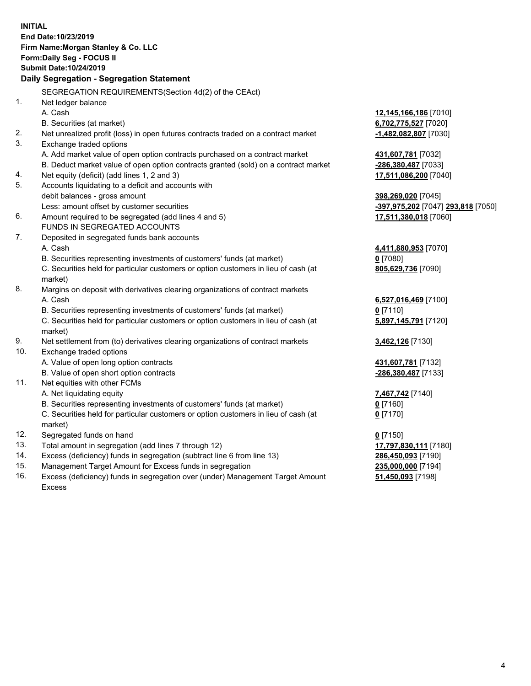**INITIAL End Date:10/23/2019 Firm Name:Morgan Stanley & Co. LLC Form:Daily Seg - FOCUS II Submit Date:10/24/2019 Daily Segregation - Segregation Statement** SEGREGATION REQUIREMENTS(Section 4d(2) of the CEAct) 1. Net ledger balance A. Cash **12,145,166,186** [7010] B. Securities (at market) **6,702,775,527** [7020] 2. Net unrealized profit (loss) in open futures contracts traded on a contract market **-1,482,082,807** [7030] 3. Exchange traded options A. Add market value of open option contracts purchased on a contract market **431,607,781** [7032] B. Deduct market value of open option contracts granted (sold) on a contract market **-286,380,487** [7033] 4. Net equity (deficit) (add lines 1, 2 and 3) **17,511,086,200** [7040] 5. Accounts liquidating to a deficit and accounts with debit balances - gross amount **398,269,020** [7045] Less: amount offset by customer securities **-397,975,202** [7047] **293,818** [7050] 6. Amount required to be segregated (add lines 4 and 5) **17,511,380,018** [7060] FUNDS IN SEGREGATED ACCOUNTS 7. Deposited in segregated funds bank accounts A. Cash **4,411,880,953** [7070] B. Securities representing investments of customers' funds (at market) **0** [7080] C. Securities held for particular customers or option customers in lieu of cash (at market) **805,629,736** [7090] 8. Margins on deposit with derivatives clearing organizations of contract markets A. Cash **6,527,016,469** [7100] B. Securities representing investments of customers' funds (at market) **0** [7110] C. Securities held for particular customers or option customers in lieu of cash (at market) **5,897,145,791** [7120] 9. Net settlement from (to) derivatives clearing organizations of contract markets **3,462,126** [7130] 10. Exchange traded options A. Value of open long option contracts **431,607,781** [7132] B. Value of open short option contracts **-286,380,487** [7133] 11. Net equities with other FCMs A. Net liquidating equity **7,467,742** [7140] B. Securities representing investments of customers' funds (at market) **0** [7160] C. Securities held for particular customers or option customers in lieu of cash (at market) **0** [7170] 12. Segregated funds on hand **0** [7150] 13. Total amount in segregation (add lines 7 through 12) **17,797,830,111** [7180] 14. Excess (deficiency) funds in segregation (subtract line 6 from line 13) **286,450,093** [7190] 15. Management Target Amount for Excess funds in segregation **235,000,000** [7194] 16. Excess (deficiency) funds in segregation over (under) Management Target Amount **51,450,093** [7198]

Excess